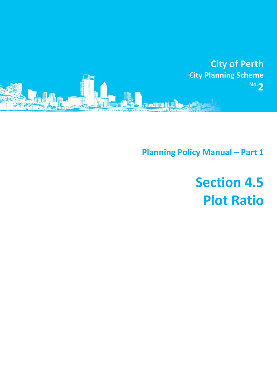

**Planning Policy Manual - Part 1** 

## **Section 4.5 Plot Ratio**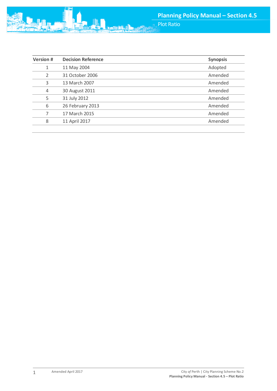

| <b>Version #</b> | <b>Decision Reference</b> | <b>Synopsis</b> |
|------------------|---------------------------|-----------------|
| 1                | 11 May 2004               | Adopted         |
| $\overline{2}$   | 31 October 2006           | Amended         |
| 3                | 13 March 2007             | Amended         |
| $\overline{4}$   | 30 August 2011            | Amended         |
| 5                | 31 July 2012              | Amended         |
| 6                | 26 February 2013          | Amended         |
| 7                | 17 March 2015             | Amended         |
| 8                | 11 April 2017             | Amended         |
|                  |                           |                 |